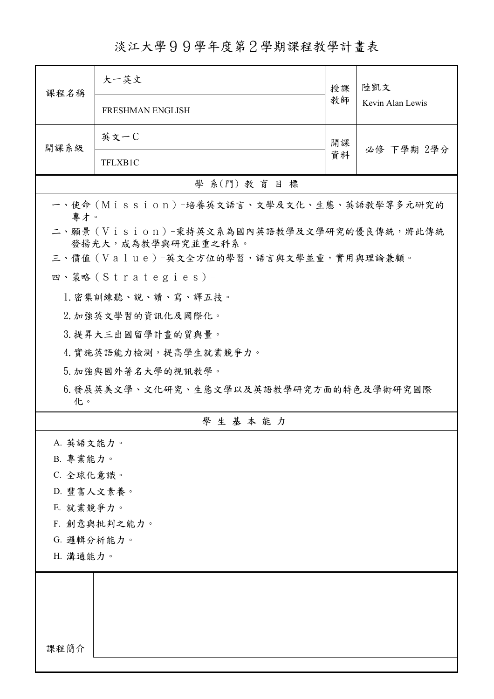## 淡江大學99學年度第2學期課程教學計畫表

| 課程名稱                                         | 大一英文                                                            | 授課<br>教師 | 陸凱文              |  |
|----------------------------------------------|-----------------------------------------------------------------|----------|------------------|--|
|                                              | <b>FRESHMAN ENGLISH</b>                                         |          | Kevin Alan Lewis |  |
| 開課系級                                         | 英文一C                                                            | 開課       | 必修 下學期 2學分       |  |
|                                              | TFLXB1C                                                         | 資料       |                  |  |
|                                              | 學 系(門) 教育目標                                                     |          |                  |  |
| 專才。                                          | 一、使命 (Mission) -培養英文語言、文學及文化、生態、英語教學等多元研究的                      |          |                  |  |
|                                              | 二、願景 (Vision)-秉持英文系為國內英語教學及文學研究的優良傳統,將此傳統<br>發揚光大,成為教學與研究並重之科系。 |          |                  |  |
|                                              | 三、價值(Value)-英文全方位的學習,語言與文學並重,實用與理論兼顧。                           |          |                  |  |
|                                              | 四、策略(Strategies)-                                               |          |                  |  |
|                                              | 1. 密集訓練聽、說、讀、寫、譯五技。                                             |          |                  |  |
|                                              | 2. 加強英文學習的資訊化及國際化。                                              |          |                  |  |
|                                              | 3. 提昇大三出國留學計畫的質與量。                                              |          |                  |  |
| 4. 實施英語能力檢測,提高學生就業競爭力。                       |                                                                 |          |                  |  |
|                                              | 5. 加強與國外著名大學的視訊教學。                                              |          |                  |  |
| 6.發展英美文學、文化研究、生態文學以及英語教學研究方面的特色及學術研究國際<br>化。 |                                                                 |          |                  |  |
|                                              | 學生基本能力                                                          |          |                  |  |
| A. 英語文能力。                                    |                                                                 |          |                  |  |
| B. 專業能力。                                     |                                                                 |          |                  |  |
| C. 全球化意識。                                    |                                                                 |          |                  |  |
| D. 豐富人文素養。                                   |                                                                 |          |                  |  |
| E. 就業競爭力。                                    |                                                                 |          |                  |  |
| F. 創意與批判之能力。<br>G. 邏輯分析能力。                   |                                                                 |          |                  |  |
| H. 溝通能力。                                     |                                                                 |          |                  |  |
|                                              |                                                                 |          |                  |  |
|                                              |                                                                 |          |                  |  |
|                                              |                                                                 |          |                  |  |
|                                              |                                                                 |          |                  |  |
| 課程簡介                                         |                                                                 |          |                  |  |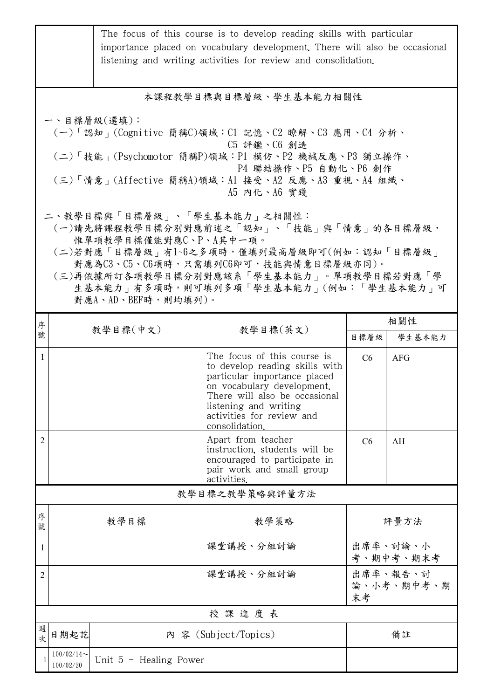|                                                                                                                                                                                                                                                                                                          | The focus of this course is to develop reading skills with particular<br>importance placed on vocabulary development. There will also be occasional<br>listening and writing activities for review and consolidation. |                          |                                                                                                                                                                                                                                      |                       |                        |  |  |
|----------------------------------------------------------------------------------------------------------------------------------------------------------------------------------------------------------------------------------------------------------------------------------------------------------|-----------------------------------------------------------------------------------------------------------------------------------------------------------------------------------------------------------------------|--------------------------|--------------------------------------------------------------------------------------------------------------------------------------------------------------------------------------------------------------------------------------|-----------------------|------------------------|--|--|
| 本課程教學目標與目標層級、學生基本能力相關性                                                                                                                                                                                                                                                                                   |                                                                                                                                                                                                                       |                          |                                                                                                                                                                                                                                      |                       |                        |  |  |
| 一、目標層級(選填):<br>(一)「認知」(Cognitive 簡稱C)領域:C1 記憶、C2 瞭解、C3 應用、C4 分析、<br>C5 評鑑、C6 創造<br>(二)「技能 <sub>」</sub> (Psychomotor 簡稱P)領域:P1 模仿、P2 機械反應、P3 獨立操作、<br>P4 聯結操作、P5 自動化、P6 創作<br>(三)「情意」(Affective 簡稱A)領域:A1 接受、A2 反應、A3 重視、A4 組織、<br>A5 内化、A6 實踐                                                            |                                                                                                                                                                                                                       |                          |                                                                                                                                                                                                                                      |                       |                        |  |  |
| 二、教學目標與「目標層級」、「學生基本能力」之相關性:<br>(一)請先將課程教學目標分別對應前述之「認知」、「技能」與「情意」的各目標層級,<br>惟單項教學目標僅能對應C、P、A其中一項。<br>(二)若對應「目標層級」有1~6之多項時,僅填列最高層級即可(例如:認知「目標層級」<br>對應為C3、C5、C6項時,只需填列C6即可,技能與情意目標層級亦同)。<br>(三)再依據所訂各項教學目標分別對應該系「學生基本能力」。單項教學目標若對應「學<br>生基本能力   有多項時,則可填列多項「學生基本能力   (例如:「學生基本能力   可<br>對應A、AD、BEF時,則均填列)。 |                                                                                                                                                                                                                       |                          |                                                                                                                                                                                                                                      |                       |                        |  |  |
| 序                                                                                                                                                                                                                                                                                                        | 教學目標(中文)                                                                                                                                                                                                              | 教學目標(英文)                 |                                                                                                                                                                                                                                      | 相關性                   |                        |  |  |
| 號                                                                                                                                                                                                                                                                                                        |                                                                                                                                                                                                                       |                          |                                                                                                                                                                                                                                      | 目標層級                  | 學生基本能力                 |  |  |
| $\mathbf{1}$                                                                                                                                                                                                                                                                                             |                                                                                                                                                                                                                       |                          | The focus of this course is<br>to develop reading skills with<br>particular importance placed<br>on vocabulary development.<br>There will also be occasional<br>listening and writing<br>activities for review and<br>consolidation. | C <sub>6</sub>        | <b>AFG</b>             |  |  |
| 2                                                                                                                                                                                                                                                                                                        |                                                                                                                                                                                                                       |                          | Apart from teacher<br>instruction, students will be<br>encouraged to participate in<br>pair work and small group<br>activities.                                                                                                      | C <sub>6</sub>        | AH                     |  |  |
| 教學目標之教學策略與評量方法                                                                                                                                                                                                                                                                                           |                                                                                                                                                                                                                       |                          |                                                                                                                                                                                                                                      |                       |                        |  |  |
| 序<br>號                                                                                                                                                                                                                                                                                                   |                                                                                                                                                                                                                       | 教學目標                     | 教學策略                                                                                                                                                                                                                                 | 評量方法                  |                        |  |  |
| 1                                                                                                                                                                                                                                                                                                        |                                                                                                                                                                                                                       |                          | 課堂講授、分組討論                                                                                                                                                                                                                            | 出席率、討論、小<br>考、期中考、期末考 |                        |  |  |
| 2                                                                                                                                                                                                                                                                                                        |                                                                                                                                                                                                                       |                          | 課堂講授、分組討論                                                                                                                                                                                                                            | 末考                    | 出席率、報告、討<br>論、小考、期中考、期 |  |  |
|                                                                                                                                                                                                                                                                                                          | 授課進度表                                                                                                                                                                                                                 |                          |                                                                                                                                                                                                                                      |                       |                        |  |  |
| 週<br>次                                                                                                                                                                                                                                                                                                   | 日期起訖<br>內 容 (Subject/Topics)                                                                                                                                                                                          |                          | 備註                                                                                                                                                                                                                                   |                       |                        |  |  |
| 1                                                                                                                                                                                                                                                                                                        | $100/02/14$ ~<br>100/02/20                                                                                                                                                                                            | Unit $5$ - Healing Power |                                                                                                                                                                                                                                      |                       |                        |  |  |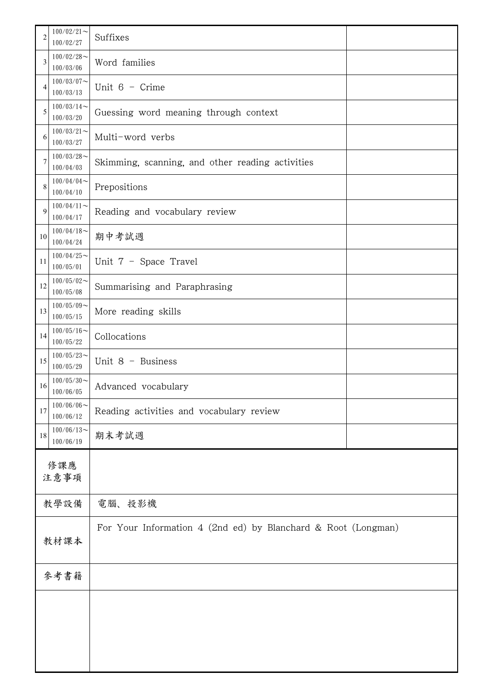| $\overline{2}$ | $100/02/21$ ~<br>100/02/27 | Suffixes                                                      |  |
|----------------|----------------------------|---------------------------------------------------------------|--|
| 3              | $100/02/28$ ~<br>100/03/06 | Word families                                                 |  |
| 4              | $100/03/07$ ~<br>100/03/13 | Unit $6 -$ Crime                                              |  |
| 5              | $100/03/14$ ~<br>100/03/20 | Guessing word meaning through context                         |  |
| 6              | $100/03/21$ ~<br>100/03/27 | Multi-word verbs                                              |  |
| $\overline{7}$ | $100/03/28$ ~<br>100/04/03 | Skimming, scanning, and other reading activities              |  |
| 8              | $100/04/04$ ~<br>100/04/10 | Prepositions                                                  |  |
| $\mathbf{Q}$   | $100/04/11$ ~<br>100/04/17 | Reading and vocabulary review                                 |  |
| 10             | $100/04/18$ ~<br>100/04/24 | 期中考試週                                                         |  |
| 11             | $100/04/25$ ~<br>100/05/01 | Unit 7 - Space Travel                                         |  |
| 12             | $100/05/02$ ~<br>100/05/08 | Summarising and Paraphrasing                                  |  |
| 13             | $100/05/09$ ~<br>100/05/15 | More reading skills                                           |  |
| 14             | $100/05/16$ ~<br>100/05/22 | Collocations                                                  |  |
| 15             | $100/05/23$ ~<br>100/05/29 | Unit 8 - Business                                             |  |
| 16             | $100/05/30$ ~<br>100/06/05 | Advanced vocabulary                                           |  |
| 17             | $100/06/06$ ~<br>100/06/12 | Reading activities and vocabulary review                      |  |
| 18             | $100/06/13$ ~<br>100/06/19 | 期末考試週                                                         |  |
|                | 修課應<br>注意事項                |                                                               |  |
|                | 教學設備                       | 電腦、投影機                                                        |  |
|                |                            | For Your Information 4 (2nd ed) by Blanchard & Root (Longman) |  |
|                | 教材課本                       |                                                               |  |
|                | 參考書籍                       |                                                               |  |
|                |                            |                                                               |  |
|                |                            |                                                               |  |
|                |                            |                                                               |  |
|                |                            |                                                               |  |